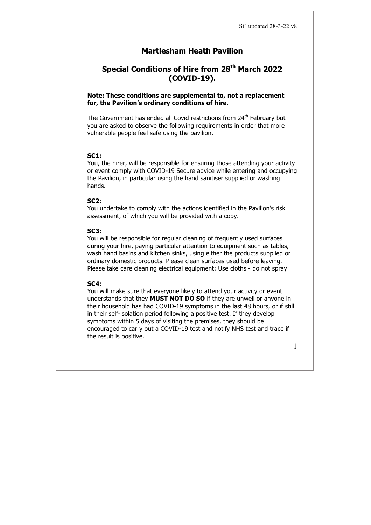# **Martlesham Heath Pavilion**

# **Special Conditions of Hire from 28th March 2022 (COVID-19).**

#### **Note: These conditions are supplemental to, not a replacement for, the Pavilion's ordinary conditions of hire.**

The Government has ended all Covid restrictions from 24<sup>th</sup> February but you are asked to observe the following requirements in order that more vulnerable people feel safe using the pavilion.

#### **SC1:**

You, the hirer, will be responsible for ensuring those attending your activity or event comply with COVID-19 Secure advice while entering and occupying the Pavilion, in particular using the hand sanitiser supplied or washing hands.

#### **SC2**:

You undertake to comply with the actions identified in the Pavilion's risk assessment, of which you will be provided with a copy.

#### **SC3:**

You will be responsible for regular cleaning of frequently used surfaces during your hire, paying particular attention to equipment such as tables, wash hand basins and kitchen sinks, using either the products supplied or ordinary domestic products. Please clean surfaces used before leaving. Please take care cleaning electrical equipment: Use cloths - do not spray!

#### **SC4:**

You will make sure that everyone likely to attend your activity or event understands that they **MUST NOT DO SO** if they are unwell or anyone in their household has had COVID-19 symptoms in the last 48 hours, or if still in their self-isolation period following a positive test. If they develop symptoms within 5 days of visiting the premises, they should be encouraged to carry out a COVID-19 test and notify NHS test and trace if the result is positive.

1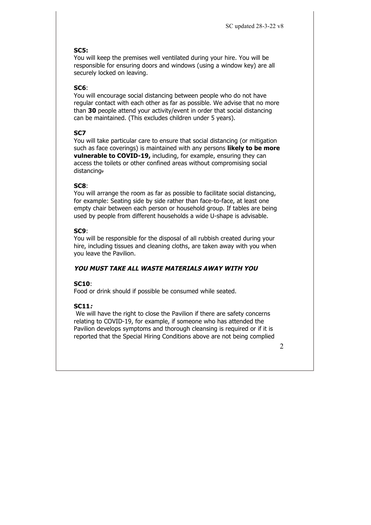## **SC5:**

You will keep the premises well ventilated during your hire. You will be responsible for ensuring doors and windows (using a window key) are all securely locked on leaving.

## **SC6**:

You will encourage social distancing between people who do not have regular contact with each other as far as possible. We advise that no more than **30** people attend your activity/event in order that social distancing can be maintained. (This excludes children under 5 years).

## **SC7**

You will take particular care to ensure that social distancing (or mitigation such as face coverings) is maintained with any persons **likely to be more vulnerable to COVID-19, including, for example, ensuring they can** access the toilets or other confined areas without compromising social distancing.

### **SC8**:

You will arrange the room as far as possible to facilitate social distancing, for example: Seating side by side rather than face-to-face, at least one empty chair between each person or household group. If tables are being used by people from different households a wide U-shape is advisable.

## **SC9**:

You will be responsible for the disposal of all rubbish created during your hire, including tissues and cleaning cloths, are taken away with you when you leave the Pavilion.

# **YOU MUST TAKE ALL WASTE MATERIALS AWAY WITH YOU**

### **SC10**:

Food or drink should if possible be consumed while seated.

# **SC11:**

We will have the right to close the Pavilion if there are safety concerns relating to COVID-19, for example, if someone who has attended the Pavilion develops symptoms and thorough cleansing is required or if it is reported that the Special Hiring Conditions above are not being complied

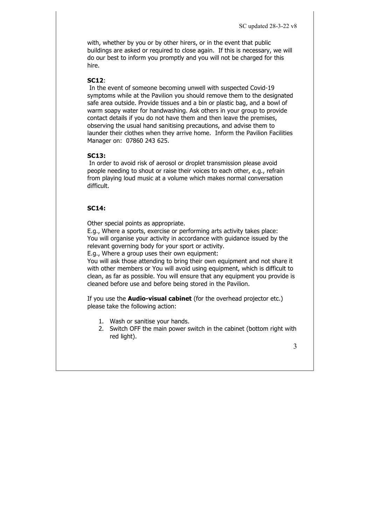with, whether by you or by other hirers, or in the event that public buildings are asked or required to close again. If this is necessary, we will do our best to inform you promptly and you will not be charged for this hire.

#### **SC12**:

In the event of someone becoming unwell with suspected Covid-19 symptoms while at the Pavilion you should remove them to the designated safe area outside. Provide tissues and a bin or plastic bag, and a bowl of warm soapy water for handwashing. Ask others in your group to provide contact details if you do not have them and then leave the premises, observing the usual hand sanitising precautions, and advise them to launder their clothes when they arrive home. Inform the Pavilion Facilities Manager on: 07860 243 625.

#### **SC13:**

In order to avoid risk of aerosol or droplet transmission please avoid people needing to shout or raise their voices to each other, e.g., refrain from playing loud music at a volume which makes normal conversation difficult.

### **SC14:**

Other special points as appropriate.

E.g., Where a sports, exercise or performing arts activity takes place: You will organise your activity in accordance with guidance issued by the relevant governing body for your sport or activity.

E.g., Where a group uses their own equipment:

You will ask those attending to bring their own equipment and not share it with other members or You will avoid using equipment, which is difficult to clean, as far as possible. You will ensure that any equipment you provide is cleaned before use and before being stored in the Pavilion.

If you use the **Audio-visual cabinet** (for the overhead projector etc.) please take the following action:

- 1. Wash or sanitise your hands.
- 2. Switch OFF the main power switch in the cabinet (bottom right with red light).

3